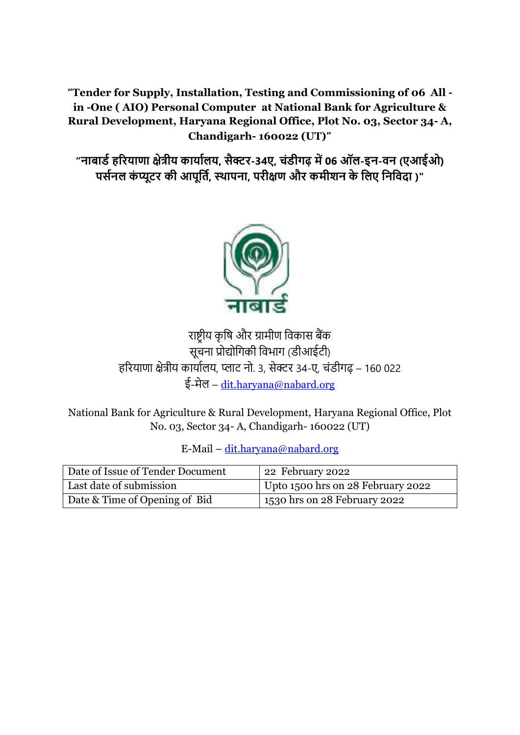**"Tender for Supply, Installation, Testing and Commissioning of 06 All in -One ( AIO) Personal Computer at National Bank for Agriculture & Rural Development, Haryana Regional Office, Plot No. 03, Sector 34- A, Chandigarh- 160022 (UT)"**

**"नाबार्डहरियाणा क्षेत्रीय कायाडलय, सैक्टि-34ए, चंर्ीगढ़ में06 ऑल-इन-वन (एआईओ) पसडनल कं प्यूटि की आपूर्तड, स्थापना, पिीक्षण औि कमीशन के र्लए र्नर्वदा )"**



राष्ट्रीय कृषि और ग्रामीण विकास बैंक सूचना प्रोद्योषिकी षिभाि (डीआईटी) हररयाणा क्षेत्रीय कायाालय, प्लाट नो. 3, सेक्टर 34-ए, चंडीिढ़ – 160 022 ई-मेल – [dit.haryana@nabard.org](mailto:dit.haryana@nabard.org)

National Bank for Agriculture & Rural Development, Haryana Regional Office, Plot No. 03, Sector 34- A, Chandigarh- 160022 (UT)

| Date of Issue of Tender Document | 22 February 2022                  |
|----------------------------------|-----------------------------------|
| Last date of submission          | Upto 1500 hrs on 28 February 2022 |
| Date & Time of Opening of Bid    | 1530 hrs on 28 February 2022      |

E-Mail – [dit.haryana@nabard.org](mailto:dit.haryana@nabard.org)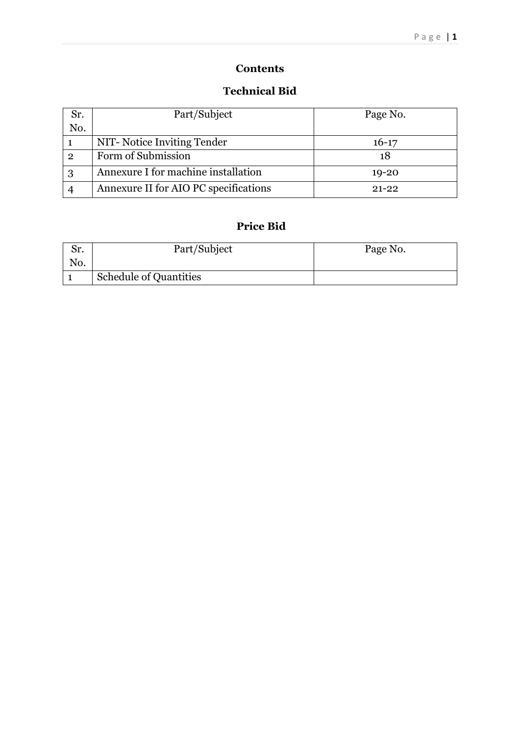# **Contents**

### **Technical Bid**

| Sr.          | Part/Subject                          | Page No.  |  |
|--------------|---------------------------------------|-----------|--|
| No.          |                                       |           |  |
|              | NIT-Notice Inviting Tender            | $16-17$   |  |
| $\mathbf{2}$ | Form of Submission                    | 18        |  |
| 3            | Annexure I for machine installation   | $19 - 20$ |  |
|              | Annexure II for AIO PC specifications | $91 - 99$ |  |

# **Price Bid**

| Sr. | Part/Subject                  | Page No. |
|-----|-------------------------------|----------|
| No. |                               |          |
|     | <b>Schedule of Quantities</b> |          |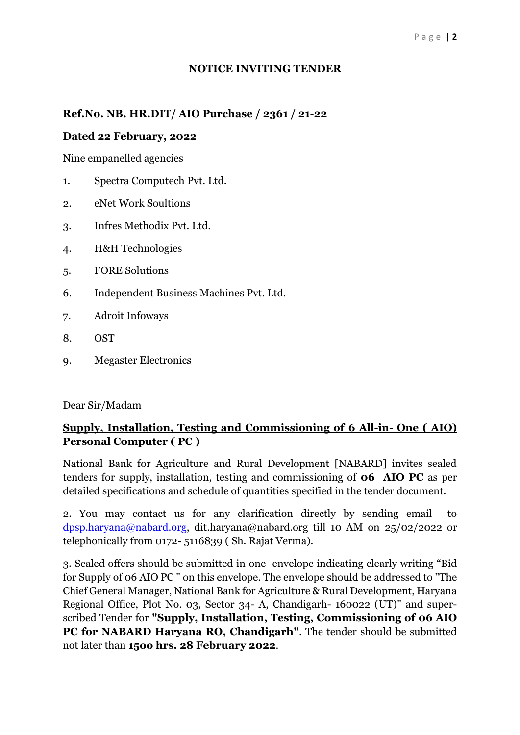#### **NOTICE INVITING TENDER**

#### **Ref.No. NB. HR.DIT/ AIO Purchase / 2361 / 21-22**

#### **Dated 22 February, 2022**

Nine empanelled agencies

- 1. Spectra Computech Pvt. Ltd.
- 2. eNet Work Soultions
- 3. Infres Methodix Pvt. Ltd.
- 4. H&H Technologies
- 5. FORE Solutions
- 6. Independent Business Machines Pvt. Ltd.
- 7. Adroit Infoways
- 8. OST
- 9. Megaster Electronics

Dear Sir/Madam

## **Supply, Installation, Testing and Commissioning of 6 All-in- One ( AIO) Personal Computer ( PC )**

National Bank for Agriculture and Rural Development [NABARD] invites sealed tenders for supply, installation, testing and commissioning of **06 AIO PC** as per detailed specifications and schedule of quantities specified in the tender document.

2. You may contact us for any clarification directly by sending email to [dpsp.haryana@nabard.org,](mailto:dpsp.haryana@nabard.org) dit.haryana@nabard.org till 10 AM on 25/02/2022 or telephonically from 0172- 5116839 ( Sh. Rajat Verma).

3. Sealed offers should be submitted in one envelope indicating clearly writing "Bid for Supply of 06 AIO PC " on this envelope. The envelope should be addressed to "The Chief General Manager, National Bank for Agriculture & Rural Development, Haryana Regional Office, Plot No. 03, Sector 34- A, Chandigarh- 160022 (UT)" and superscribed Tender for **"Supply, Installation, Testing, Commissioning of 06 AIO PC for NABARD Haryana RO, Chandigarh"**. The tender should be submitted not later than **15oo hrs. 28 February 2022**.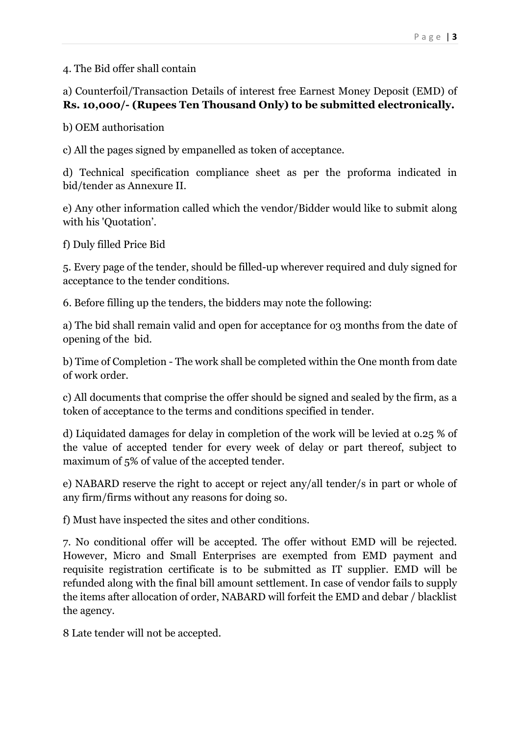### 4. The Bid offer shall contain

a) Counterfoil/Transaction Details of interest free Earnest Money Deposit (EMD) of **Rs. 10,000/- (Rupees Ten Thousand Only) to be submitted electronically.**

b) OEM authorisation

c) All the pages signed by empanelled as token of acceptance.

d) Technical specification compliance sheet as per the proforma indicated in bid/tender as Annexure II.

e) Any other information called which the vendor/Bidder would like to submit along with his 'Quotation'.

f) Duly filled Price Bid

5. Every page of the tender, should be filled-up wherever required and duly signed for acceptance to the tender conditions.

6. Before filling up the tenders, the bidders may note the following:

a) The bid shall remain valid and open for acceptance for o3 months from the date of opening of the bid.

b) Time of Completion - The work shall be completed within the One month from date of work order.

c) All documents that comprise the offer should be signed and sealed by the firm, as a token of acceptance to the terms and conditions specified in tender.

d) Liquidated damages for delay in completion of the work will be levied at o.25 % of the value of accepted tender for every week of delay or part thereof, subject to maximum of 5% of value of the accepted tender.

e) NABARD reserve the right to accept or reject any/all tender/s in part or whole of any firm/firms without any reasons for doing so.

f) Must have inspected the sites and other conditions.

7. No conditional offer will be accepted. The offer without EMD will be rejected. However, Micro and Small Enterprises are exempted from EMD payment and requisite registration certificate is to be submitted as IT supplier. EMD will be refunded along with the final bill amount settlement. In case of vendor fails to supply the items after allocation of order, NABARD will forfeit the EMD and debar / blacklist the agency.

8 Late tender will not be accepted.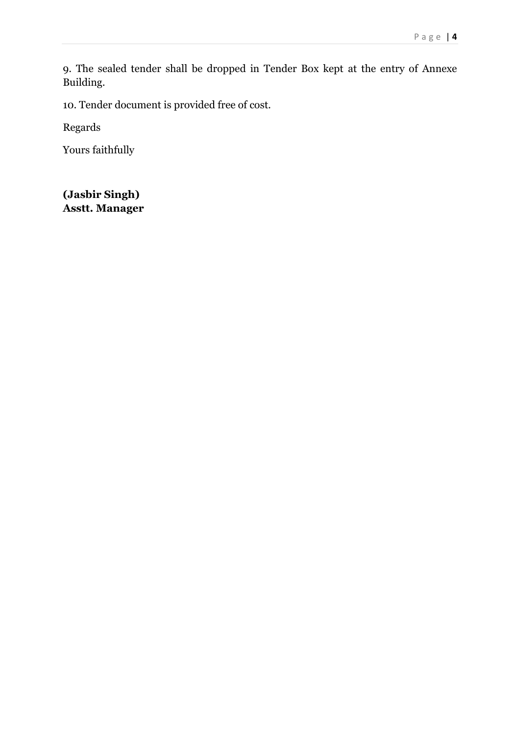9. The sealed tender shall be dropped in Tender Box kept at the entry of Annexe Building.

10. Tender document is provided free of cost.

Regards

Yours faithfully

**(Jasbir Singh) Asstt. Manager**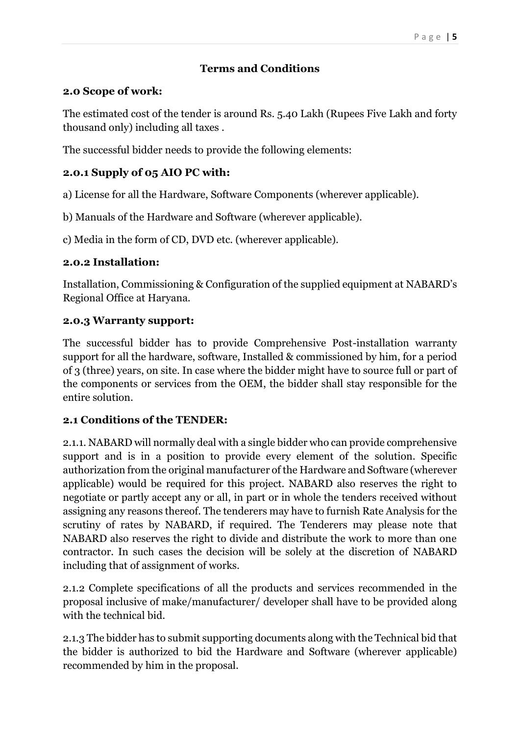# **Terms and Conditions**

## **2.0 Scope of work:**

The estimated cost of the tender is around Rs. 5.40 Lakh (Rupees Five Lakh and forty thousand only) including all taxes .

The successful bidder needs to provide the following elements:

## **2.0.1 Supply of 05 AIO PC with:**

a) License for all the Hardware, Software Components (wherever applicable).

b) Manuals of the Hardware and Software (wherever applicable).

c) Media in the form of CD, DVD etc. (wherever applicable).

## **2.0.2 Installation:**

Installation, Commissioning & Configuration of the supplied equipment at NABARD's Regional Office at Haryana.

## **2.0.3 Warranty support:**

The successful bidder has to provide Comprehensive Post-installation warranty support for all the hardware, software, Installed & commissioned by him, for a period of 3 (three) years, on site. In case where the bidder might have to source full or part of the components or services from the OEM, the bidder shall stay responsible for the entire solution.

# **2.1 Conditions of the TENDER:**

2.1.1. NABARD will normally deal with a single bidder who can provide comprehensive support and is in a position to provide every element of the solution. Specific authorization from the original manufacturer of the Hardware and Software (wherever applicable) would be required for this project. NABARD also reserves the right to negotiate or partly accept any or all, in part or in whole the tenders received without assigning any reasons thereof. The tenderers may have to furnish Rate Analysis for the scrutiny of rates by NABARD, if required. The Tenderers may please note that NABARD also reserves the right to divide and distribute the work to more than one contractor. In such cases the decision will be solely at the discretion of NABARD including that of assignment of works.

2.1.2 Complete specifications of all the products and services recommended in the proposal inclusive of make/manufacturer/ developer shall have to be provided along with the technical bid.

2.1.3 The bidder has to submit supporting documents along with the Technical bid that the bidder is authorized to bid the Hardware and Software (wherever applicable) recommended by him in the proposal.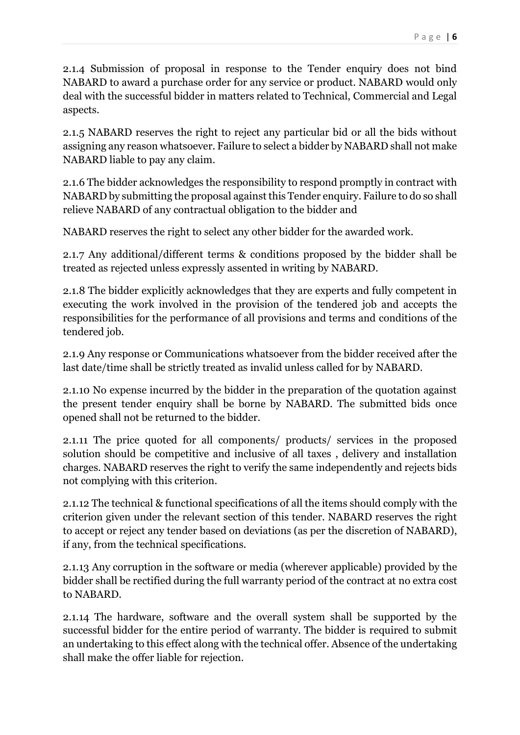2.1.4 Submission of proposal in response to the Tender enquiry does not bind NABARD to award a purchase order for any service or product. NABARD would only deal with the successful bidder in matters related to Technical, Commercial and Legal aspects.

2.1.5 NABARD reserves the right to reject any particular bid or all the bids without assigning any reason whatsoever. Failure to select a bidder by NABARD shall not make NABARD liable to pay any claim.

2.1.6 The bidder acknowledges the responsibility to respond promptly in contract with NABARD by submitting the proposal against this Tender enquiry. Failure to do so shall relieve NABARD of any contractual obligation to the bidder and

NABARD reserves the right to select any other bidder for the awarded work.

2.1.7 Any additional/different terms & conditions proposed by the bidder shall be treated as rejected unless expressly assented in writing by NABARD.

2.1.8 The bidder explicitly acknowledges that they are experts and fully competent in executing the work involved in the provision of the tendered job and accepts the responsibilities for the performance of all provisions and terms and conditions of the tendered job.

2.1.9 Any response or Communications whatsoever from the bidder received after the last date/time shall be strictly treated as invalid unless called for by NABARD.

2.1.10 No expense incurred by the bidder in the preparation of the quotation against the present tender enquiry shall be borne by NABARD. The submitted bids once opened shall not be returned to the bidder.

2.1.11 The price quoted for all components/ products/ services in the proposed solution should be competitive and inclusive of all taxes , delivery and installation charges. NABARD reserves the right to verify the same independently and rejects bids not complying with this criterion.

2.1.12 The technical & functional specifications of all the items should comply with the criterion given under the relevant section of this tender. NABARD reserves the right to accept or reject any tender based on deviations (as per the discretion of NABARD), if any, from the technical specifications.

2.1.13 Any corruption in the software or media (wherever applicable) provided by the bidder shall be rectified during the full warranty period of the contract at no extra cost to NABARD.

2.1.14 The hardware, software and the overall system shall be supported by the successful bidder for the entire period of warranty. The bidder is required to submit an undertaking to this effect along with the technical offer. Absence of the undertaking shall make the offer liable for rejection.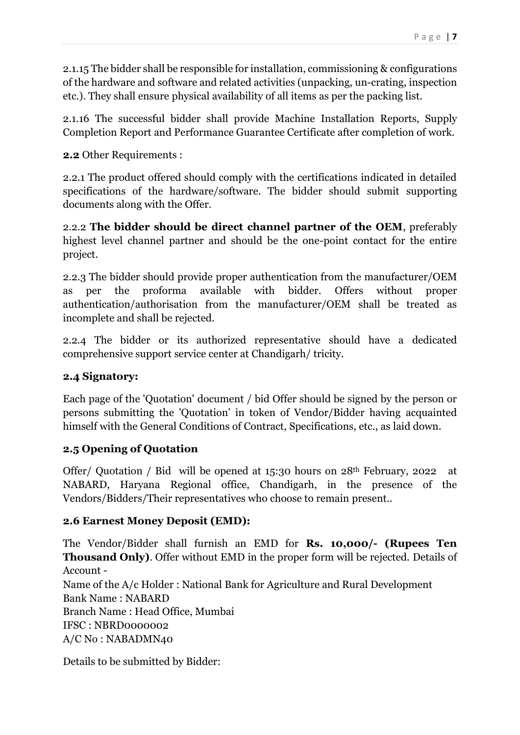2.1.15 The bidder shall be responsible for installation, commissioning & configurations of the hardware and software and related activities (unpacking, un-crating, inspection etc.). They shall ensure physical availability of all items as per the packing list.

2.1.16 The successful bidder shall provide Machine Installation Reports, Supply Completion Report and Performance Guarantee Certificate after completion of work.

**2.2** Other Requirements :

2.2.1 The product offered should comply with the certifications indicated in detailed specifications of the hardware/software. The bidder should submit supporting documents along with the Offer.

2.2.2 **The bidder should be direct channel partner of the OEM**, preferably highest level channel partner and should be the one-point contact for the entire project.

2.2.3 The bidder should provide proper authentication from the manufacturer/OEM as per the proforma available with bidder. Offers without proper authentication/authorisation from the manufacturer/OEM shall be treated as incomplete and shall be rejected.

2.2.4 The bidder or its authorized representative should have a dedicated comprehensive support service center at Chandigarh/ tricity.

#### **2.4 Signatory:**

Each page of the 'Quotation' document / bid Offer should be signed by the person or persons submitting the 'Quotation' in token of Vendor/Bidder having acquainted himself with the General Conditions of Contract, Specifications, etc., as laid down.

# **2.5 Opening of Quotation**

Offer/ Quotation / Bid will be opened at  $15:30$  hours on  $28<sup>th</sup>$  February, 2022 at NABARD, Haryana Regional office, Chandigarh, in the presence of the Vendors/Bidders/Their representatives who choose to remain present..

# **2.6 Earnest Money Deposit (EMD):**

The Vendor/Bidder shall furnish an EMD for **Rs. 10,000/- (Rupees Ten Thousand Only)**. Offer without EMD in the proper form will be rejected. Details of Account - Name of the A/c Holder : National Bank for Agriculture and Rural Development Bank Name : NABARD Branch Name : Head Office, Mumbai IFSC : NBRD0000002

A/C No : NABADMN40

Details to be submitted by Bidder: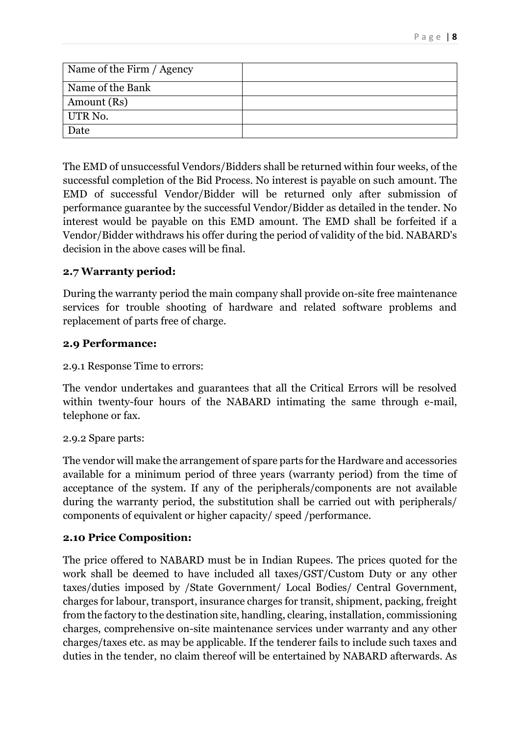| Name of the Firm / Agency |  |
|---------------------------|--|
| Name of the Bank          |  |
| Amount (Rs)               |  |
| UTR No.                   |  |
| Date                      |  |

The EMD of unsuccessful Vendors/Bidders shall be returned within four weeks, of the successful completion of the Bid Process. No interest is payable on such amount. The EMD of successful Vendor/Bidder will be returned only after submission of performance guarantee by the successful Vendor/Bidder as detailed in the tender. No interest would be payable on this EMD amount. The EMD shall be forfeited if a Vendor/Bidder withdraws his offer during the period of validity of the bid. NABARD's decision in the above cases will be final.

#### **2.7 Warranty period:**

During the warranty period the main company shall provide on-site free maintenance services for trouble shooting of hardware and related software problems and replacement of parts free of charge.

#### **2.9 Performance:**

2.9.1 Response Time to errors:

The vendor undertakes and guarantees that all the Critical Errors will be resolved within twenty-four hours of the NABARD intimating the same through e-mail, telephone or fax.

#### 2.9.2 Spare parts:

The vendor will make the arrangement of spare parts for the Hardware and accessories available for a minimum period of three years (warranty period) from the time of acceptance of the system. If any of the peripherals/components are not available during the warranty period, the substitution shall be carried out with peripherals/ components of equivalent or higher capacity/ speed /performance.

#### **2.10 Price Composition:**

The price offered to NABARD must be in Indian Rupees. The prices quoted for the work shall be deemed to have included all taxes/GST/Custom Duty or any other taxes/duties imposed by /State Government/ Local Bodies/ Central Government, charges for labour, transport, insurance charges for transit, shipment, packing, freight from the factory to the destination site, handling, clearing, installation, commissioning charges, comprehensive on-site maintenance services under warranty and any other charges/taxes etc. as may be applicable. If the tenderer fails to include such taxes and duties in the tender, no claim thereof will be entertained by NABARD afterwards. As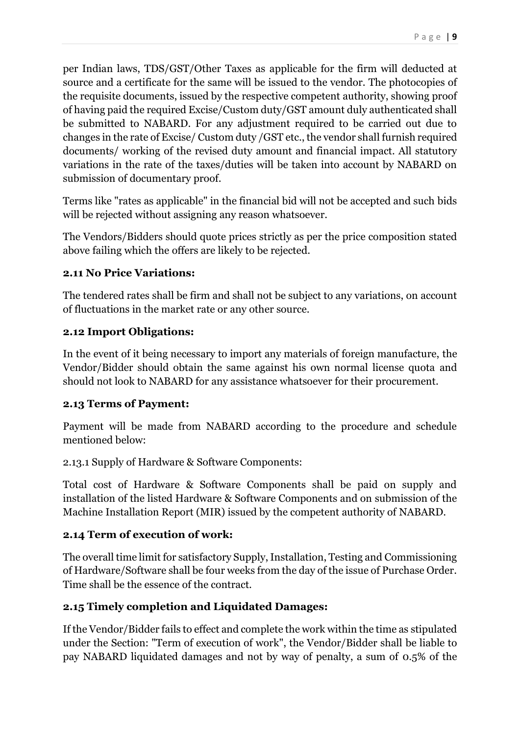per Indian laws, TDS/GST/Other Taxes as applicable for the firm will deducted at source and a certificate for the same will be issued to the vendor. The photocopies of the requisite documents, issued by the respective competent authority, showing proof of having paid the required Excise/Custom duty/GST amount duly authenticated shall be submitted to NABARD. For any adjustment required to be carried out due to changes in the rate of Excise/ Custom duty /GST etc., the vendor shall furnish required documents/ working of the revised duty amount and financial impact. All statutory variations in the rate of the taxes/duties will be taken into account by NABARD on submission of documentary proof.

Terms like "rates as applicable" in the financial bid will not be accepted and such bids will be rejected without assigning any reason whatsoever.

The Vendors/Bidders should quote prices strictly as per the price composition stated above failing which the offers are likely to be rejected.

#### **2.11 No Price Variations:**

The tendered rates shall be firm and shall not be subject to any variations, on account of fluctuations in the market rate or any other source.

## **2.12 Import Obligations:**

In the event of it being necessary to import any materials of foreign manufacture, the Vendor/Bidder should obtain the same against his own normal license quota and should not look to NABARD for any assistance whatsoever for their procurement.

#### **2.13 Terms of Payment:**

Payment will be made from NABARD according to the procedure and schedule mentioned below:

2.13.1 Supply of Hardware & Software Components:

Total cost of Hardware & Software Components shall be paid on supply and installation of the listed Hardware & Software Components and on submission of the Machine Installation Report (MIR) issued by the competent authority of NABARD.

# **2.14 Term of execution of work:**

The overall time limit for satisfactory Supply, Installation, Testing and Commissioning of Hardware/Software shall be four weeks from the day of the issue of Purchase Order. Time shall be the essence of the contract.

# **2.15 Timely completion and Liquidated Damages:**

If the Vendor/Bidder fails to effect and complete the work within the time as stipulated under the Section: "Term of execution of work", the Vendor/Bidder shall be liable to pay NABARD liquidated damages and not by way of penalty, a sum of 0.5% of the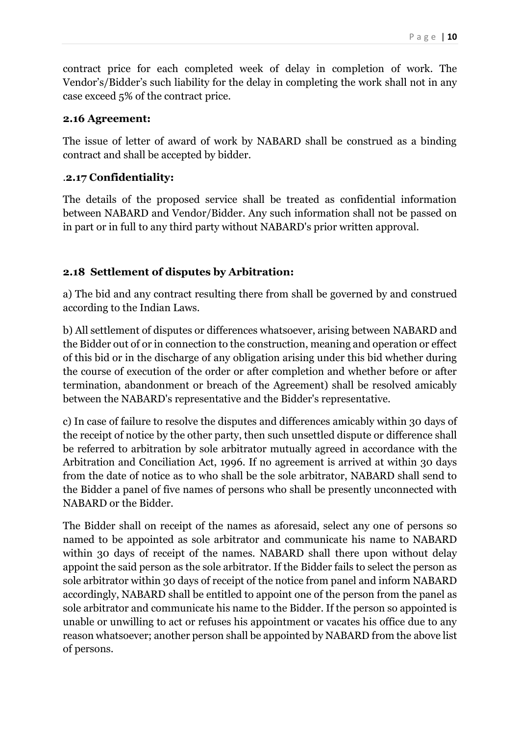contract price for each completed week of delay in completion of work. The Vendor's/Bidder's such liability for the delay in completing the work shall not in any case exceed 5% of the contract price.

## **2.16 Agreement:**

The issue of letter of award of work by NABARD shall be construed as a binding contract and shall be accepted by bidder.

# .**2.17 Confidentiality:**

The details of the proposed service shall be treated as confidential information between NABARD and Vendor/Bidder. Any such information shall not be passed on in part or in full to any third party without NABARD's prior written approval.

# **2.18 Settlement of disputes by Arbitration:**

a) The bid and any contract resulting there from shall be governed by and construed according to the Indian Laws.

b) All settlement of disputes or differences whatsoever, arising between NABARD and the Bidder out of or in connection to the construction, meaning and operation or effect of this bid or in the discharge of any obligation arising under this bid whether during the course of execution of the order or after completion and whether before or after termination, abandonment or breach of the Agreement) shall be resolved amicably between the NABARD's representative and the Bidder's representative.

c) In case of failure to resolve the disputes and differences amicably within 30 days of the receipt of notice by the other party, then such unsettled dispute or difference shall be referred to arbitration by sole arbitrator mutually agreed in accordance with the Arbitration and Conciliation Act, 1996. If no agreement is arrived at within 30 days from the date of notice as to who shall be the sole arbitrator, NABARD shall send to the Bidder a panel of five names of persons who shall be presently unconnected with NABARD or the Bidder.

The Bidder shall on receipt of the names as aforesaid, select any one of persons so named to be appointed as sole arbitrator and communicate his name to NABARD within 30 days of receipt of the names. NABARD shall there upon without delay appoint the said person as the sole arbitrator. If the Bidder fails to select the person as sole arbitrator within 30 days of receipt of the notice from panel and inform NABARD accordingly, NABARD shall be entitled to appoint one of the person from the panel as sole arbitrator and communicate his name to the Bidder. If the person so appointed is unable or unwilling to act or refuses his appointment or vacates his office due to any reason whatsoever; another person shall be appointed by NABARD from the above list of persons.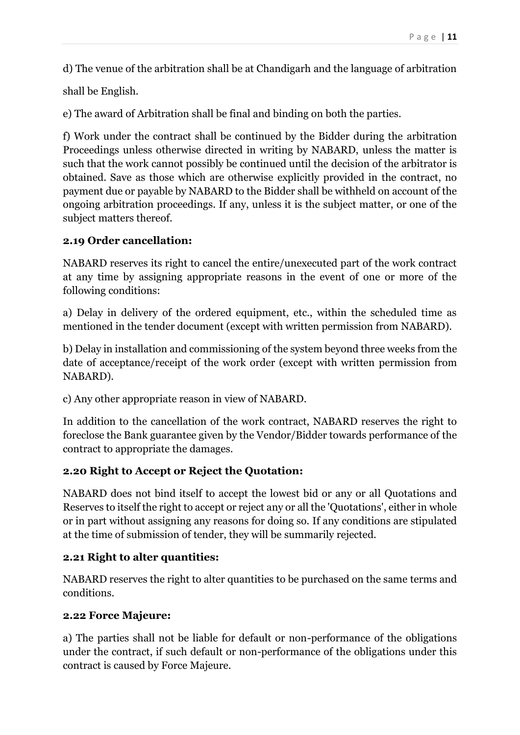d) The venue of the arbitration shall be at Chandigarh and the language of arbitration

shall be English.

e) The award of Arbitration shall be final and binding on both the parties.

f) Work under the contract shall be continued by the Bidder during the arbitration Proceedings unless otherwise directed in writing by NABARD, unless the matter is such that the work cannot possibly be continued until the decision of the arbitrator is obtained. Save as those which are otherwise explicitly provided in the contract, no payment due or payable by NABARD to the Bidder shall be withheld on account of the ongoing arbitration proceedings. If any, unless it is the subject matter, or one of the subject matters thereof.

#### **2.19 Order cancellation:**

NABARD reserves its right to cancel the entire/unexecuted part of the work contract at any time by assigning appropriate reasons in the event of one or more of the following conditions:

a) Delay in delivery of the ordered equipment, etc., within the scheduled time as mentioned in the tender document (except with written permission from NABARD).

b) Delay in installation and commissioning of the system beyond three weeks from the date of acceptance/receipt of the work order (except with written permission from NABARD).

c) Any other appropriate reason in view of NABARD.

In addition to the cancellation of the work contract, NABARD reserves the right to foreclose the Bank guarantee given by the Vendor/Bidder towards performance of the contract to appropriate the damages.

#### **2.20 Right to Accept or Reject the Quotation:**

NABARD does not bind itself to accept the lowest bid or any or all Quotations and Reserves to itself the right to accept or reject any or all the 'Quotations', either in whole or in part without assigning any reasons for doing so. If any conditions are stipulated at the time of submission of tender, they will be summarily rejected.

#### **2.21 Right to alter quantities:**

NABARD reserves the right to alter quantities to be purchased on the same terms and conditions.

#### **2.22 Force Majeure:**

a) The parties shall not be liable for default or non-performance of the obligations under the contract, if such default or non-performance of the obligations under this contract is caused by Force Majeure.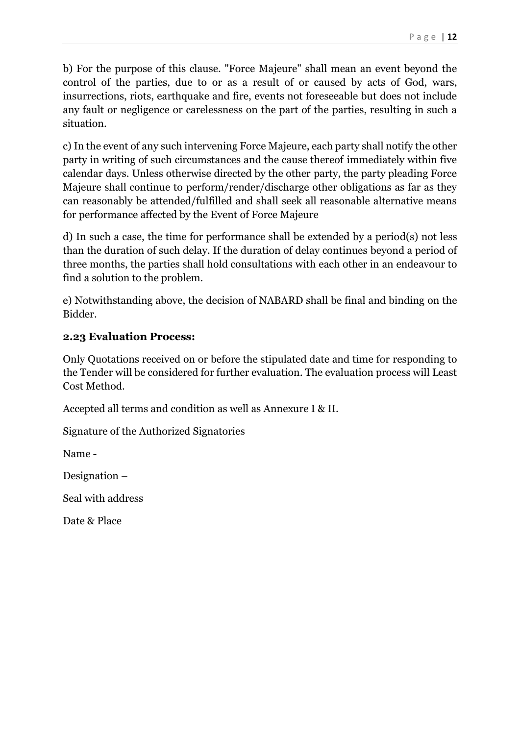b) For the purpose of this clause. "Force Majeure" shall mean an event beyond the control of the parties, due to or as a result of or caused by acts of God, wars, insurrections, riots, earthquake and fire, events not foreseeable but does not include any fault or negligence or carelessness on the part of the parties, resulting in such a situation.

c) In the event of any such intervening Force Majeure, each party shall notify the other party in writing of such circumstances and the cause thereof immediately within five calendar days. Unless otherwise directed by the other party, the party pleading Force Majeure shall continue to perform/render/discharge other obligations as far as they can reasonably be attended/fulfilled and shall seek all reasonable alternative means for performance affected by the Event of Force Majeure

d) In such a case, the time for performance shall be extended by a period(s) not less than the duration of such delay. If the duration of delay continues beyond a period of three months, the parties shall hold consultations with each other in an endeavour to find a solution to the problem.

e) Notwithstanding above, the decision of NABARD shall be final and binding on the Bidder.

#### **2.23 Evaluation Process:**

Only Quotations received on or before the stipulated date and time for responding to the Tender will be considered for further evaluation. The evaluation process will Least Cost Method.

Accepted all terms and condition as well as Annexure I & II.

Signature of the Authorized Signatories

Name -

Designation –

Seal with address

Date & Place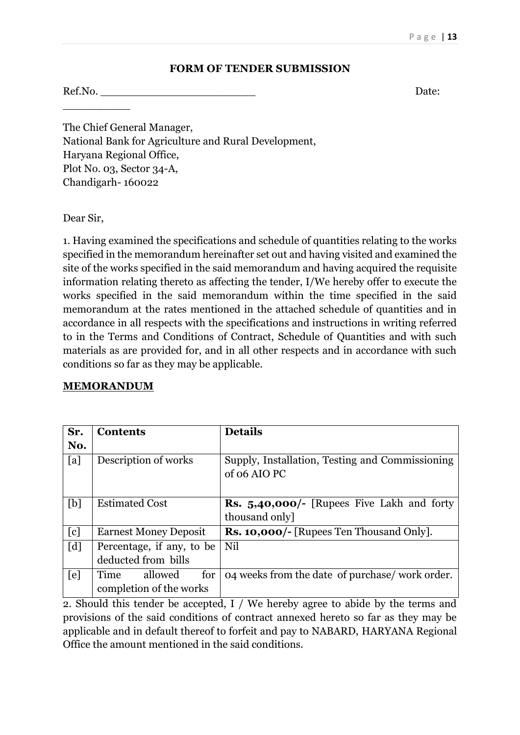#### **FORM OF TENDER SUBMISSION**

Ref.No. Date:

The Chief General Manager, National Bank for Agriculture and Rural Development, Haryana Regional Office, Plot No. 03, Sector 34-A, Chandigarh- 160022

Dear Sir,

 $\overline{\phantom{a}}$  , where  $\overline{\phantom{a}}$ 

1. Having examined the specifications and schedule of quantities relating to the works specified in the memorandum hereinafter set out and having visited and examined the site of the works specified in the said memorandum and having acquired the requisite information relating thereto as affecting the tender, I/We hereby offer to execute the works specified in the said memorandum within the time specified in the said memorandum at the rates mentioned in the attached schedule of quantities and in accordance in all respects with the specifications and instructions in writing referred to in the Terms and Conditions of Contract, Schedule of Quantities and with such materials as are provided for, and in all other respects and in accordance with such conditions so far as they may be applicable.

#### **MEMORANDUM**

| Sr.               | <b>Contents</b>                                   | <b>Details</b>                                                     |
|-------------------|---------------------------------------------------|--------------------------------------------------------------------|
| No.               |                                                   |                                                                    |
| [a]               | Description of works                              | Supply, Installation, Testing and Commissioning<br>of 06 AIO PC    |
| [b]               | <b>Estimated Cost</b>                             | <b>Rs.</b> 5,40,000/- [Rupees Five Lakh and forty<br>thousand only |
| [c]               | <b>Earnest Money Deposit</b>                      | <b>Rs. 10,000/-</b> [Rupees Ten Thousand Only].                    |
| $\lceil d \rceil$ | Percentage, if any, to be<br>deducted from bills  | Nil                                                                |
| [e]               | for<br>allowed<br>Time<br>completion of the works | 04 weeks from the date of purchase/work order.                     |

2. Should this tender be accepted, I / We hereby agree to abide by the terms and provisions of the said conditions of contract annexed hereto so far as they may be applicable and in default thereof to forfeit and pay to NABARD, HARYANA Regional Office the amount mentioned in the said conditions.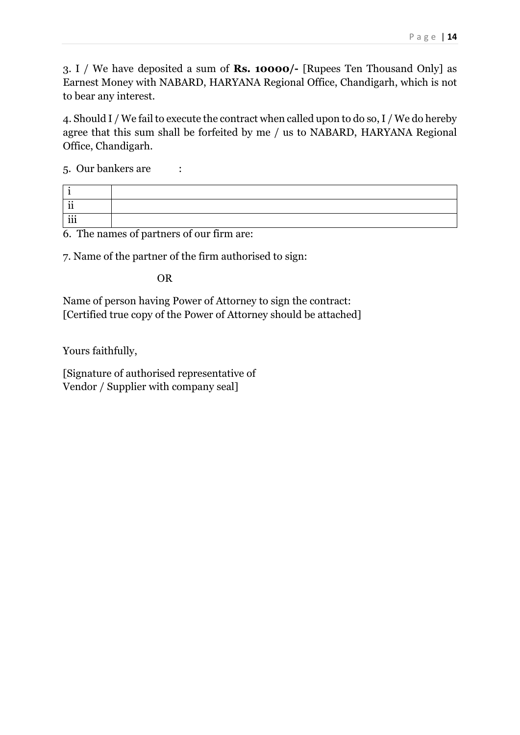3. I / We have deposited a sum of **Rs. 10000/-** [Rupees Ten Thousand Only] as Earnest Money with NABARD, HARYANA Regional Office, Chandigarh, which is not to bear any interest.

4. Should I / We fail to execute the contract when called upon to do so, I / We do hereby agree that this sum shall be forfeited by me / us to NABARD, HARYANA Regional Office, Chandigarh.

5. Our bankers are :

| $\cdot \cdot$<br>л. |  |
|---------------------|--|
| iii                 |  |

6. The names of partners of our firm are:

7. Name of the partner of the firm authorised to sign:

OR

Name of person having Power of Attorney to sign the contract: [Certified true copy of the Power of Attorney should be attached]

Yours faithfully,

[Signature of authorised representative of Vendor / Supplier with company seal]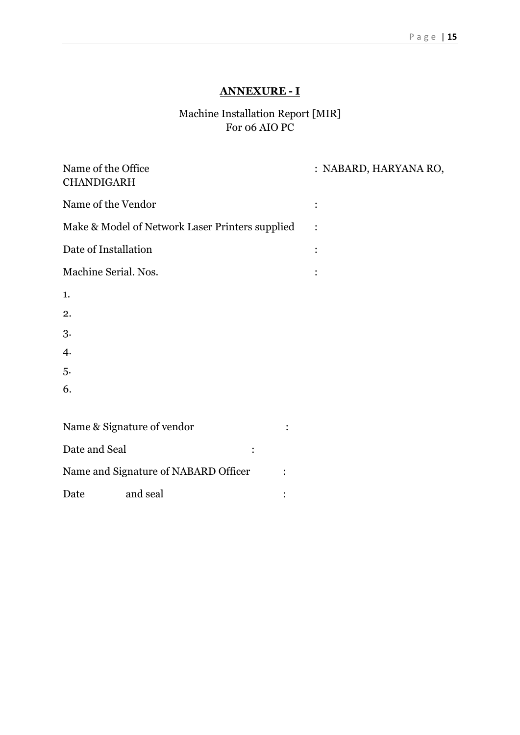# **ANNEXURE - I**

# Machine Installation Report [MIR] For 06 AIO PC

| Name of the Office<br><b>CHANDIGARH</b>         | : NABARD, HARYANA RO, |
|-------------------------------------------------|-----------------------|
| Name of the Vendor                              |                       |
| Make & Model of Network Laser Printers supplied |                       |
| Date of Installation                            | $\bullet$             |
| Machine Serial. Nos.                            |                       |
| 1.                                              |                       |
| 2.                                              |                       |
| 3.                                              |                       |
| 4.                                              |                       |
| 5.                                              |                       |
| 6.                                              |                       |
|                                                 |                       |
| Name & Signature of vendor                      |                       |
| Date and Seal                                   |                       |
| Name and Signature of NABARD Officer            |                       |
| and seal<br>Date                                |                       |
|                                                 |                       |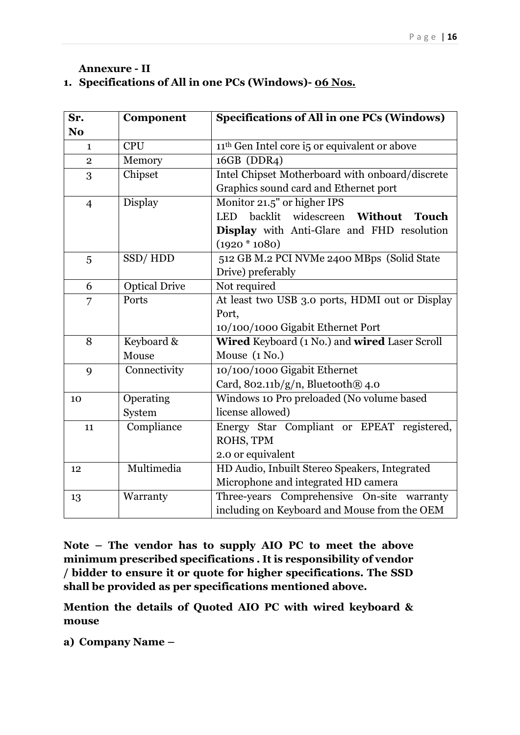#### **Annexure - II 1. Specifications of All in one PCs (Windows)- 06 Nos.**

| Sr.            | Component            | <b>Specifications of All in one PCs (Windows)</b>                  |  |  |  |
|----------------|----------------------|--------------------------------------------------------------------|--|--|--|
| N <sub>o</sub> |                      |                                                                    |  |  |  |
| $\mathbf{1}$   | <b>CPU</b>           | 11 <sup>th</sup> Gen Intel core i5 or equivalent or above          |  |  |  |
| $\overline{2}$ | Memory               | 16GB (DDR4)                                                        |  |  |  |
| 3              | Chipset              | Intel Chipset Motherboard with onboard/discrete                    |  |  |  |
|                |                      | Graphics sound card and Ethernet port                              |  |  |  |
| $\overline{4}$ | Display              | Monitor 21.5" or higher IPS                                        |  |  |  |
|                |                      | backlit widescreen<br><b>LED</b><br><b>Without</b><br><b>Touch</b> |  |  |  |
|                |                      | Display with Anti-Glare and FHD resolution                         |  |  |  |
|                |                      | $(1920 * 1080)$                                                    |  |  |  |
| 5              | SSD/HDD              | 512 GB M.2 PCI NVMe 2400 MBps (Solid State                         |  |  |  |
|                |                      | Drive) preferably                                                  |  |  |  |
| 6              | <b>Optical Drive</b> | Not required                                                       |  |  |  |
| 7              | Ports                | At least two USB 3.0 ports, HDMI out or Display                    |  |  |  |
|                |                      | Port,                                                              |  |  |  |
|                |                      | 10/100/1000 Gigabit Ethernet Port                                  |  |  |  |
| 8              | Keyboard &           | Wired Keyboard (1 No.) and wired Laser Scroll                      |  |  |  |
|                | Mouse                | Mouse $(1 No.)$                                                    |  |  |  |
| 9              | Connectivity         | 10/100/1000 Gigabit Ethernet                                       |  |  |  |
|                |                      | Card, $802.11b/g/n$ , Bluetooth $@$ 4.0                            |  |  |  |
| 10             | Operating            | Windows 10 Pro preloaded (No volume based                          |  |  |  |
|                | System               | license allowed)                                                   |  |  |  |
| 11             | Compliance           | Energy Star Compliant or EPEAT registered,                         |  |  |  |
|                |                      | ROHS, TPM                                                          |  |  |  |
|                |                      | 2.0 or equivalent                                                  |  |  |  |
| 12             | Multimedia           | HD Audio, Inbuilt Stereo Speakers, Integrated                      |  |  |  |
|                |                      | Microphone and integrated HD camera                                |  |  |  |
| 13             | Warranty             | Three-years Comprehensive On-site warranty                         |  |  |  |
|                |                      | including on Keyboard and Mouse from the OEM                       |  |  |  |

**Note – The vendor has to supply AIO PC to meet the above minimum prescribed specifications . It is responsibility of vendor / bidder to ensure it or quote for higher specifications. The SSD shall be provided as per specifications mentioned above.**

**Mention the details of Quoted AIO PC with wired keyboard & mouse** 

**a) Company Name –**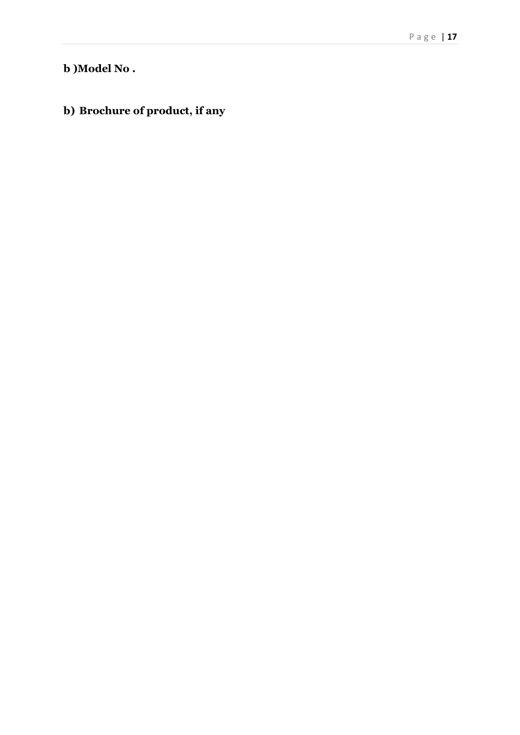# **b )Model No .**

# **b) Brochure of product, if any**